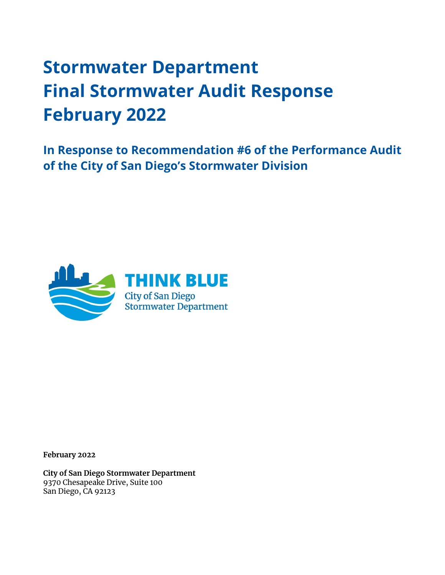# **Stormwater Department Final Stormwater Audit Response February 2022**

**In Response to Recommendation #6 of the Performance Audit of the City of San Diego's Stormwater Division**



**February 2022** 

**City of San Diego Stormwater Department**  9370 Chesapeake Drive, Suite 100 San Diego, CA 92123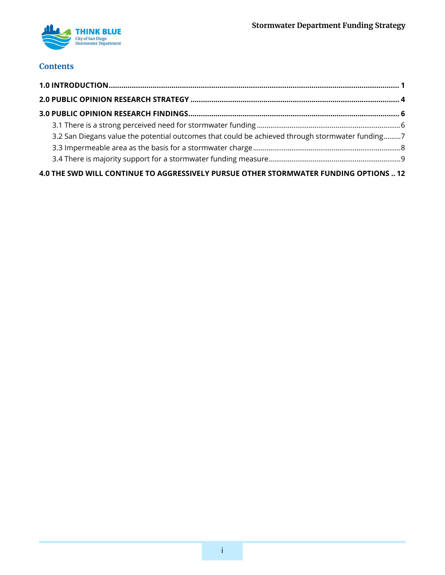

### **Contents**

| 3.2 San Diegans value the potential outcomes that could be achieved through stormwater funding7 |  |
|-------------------------------------------------------------------------------------------------|--|
|                                                                                                 |  |
|                                                                                                 |  |
| 4.0 THE SWD WILL CONTINUE TO AGGRESSIVELY PURSUE OTHER STORMWATER FUNDING OPTIONS  12           |  |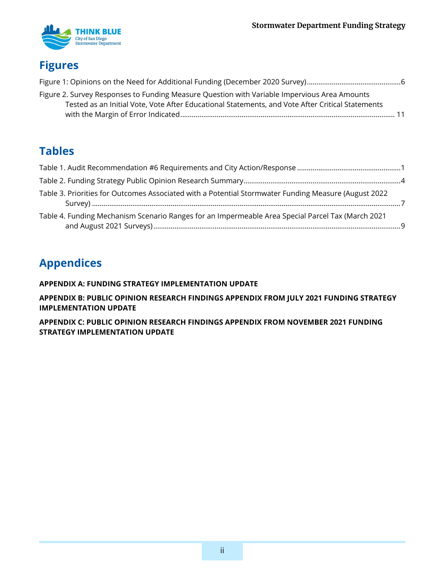

## **Figures**

| Figure 2. Survey Responses to Funding Measure Question with Variable Impervious Area Amounts     |  |
|--------------------------------------------------------------------------------------------------|--|
| Tested as an Initial Vote, Vote After Educational Statements, and Vote After Critical Statements |  |
|                                                                                                  |  |

### **Tables**

| Table 3. Priorities for Outcomes Associated with a Potential Stormwater Funding Measure (August 2022 |  |
|------------------------------------------------------------------------------------------------------|--|
| Table 4. Funding Mechanism Scenario Ranges for an Impermeable Area Special Parcel Tax (March 2021    |  |

## **Appendices**

### **[APPENDIX A: FUNDING STRATEGY IMPLEMENTATION UPDATE](#page-16-0)**

**[APPENDIX B: PUBLIC OPINION RESEARCH FINDINGS APPENDIX FROM JULY 2021 FUNDING STRATEGY](#page-23-0)  [IMPLEMENTATION UPDATE](#page-23-0)**

**[APPENDIX C: PUBLIC OPINION RESEARCH FINDINGS APPENDIX FROM NOVEMBER 2021 FUNDING](#page-28-0)  [STRATEGY IMPLEMENTATION UPDATE](#page-28-0)**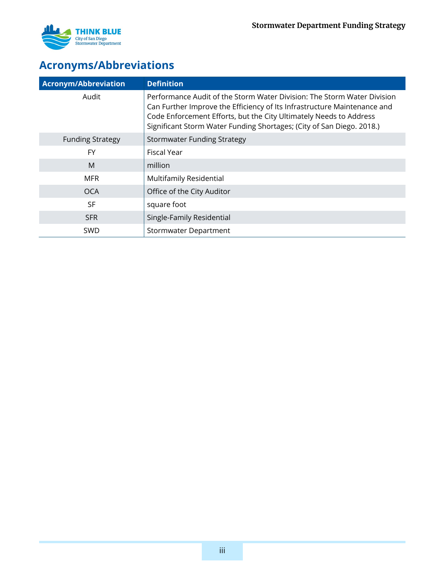

## **Acronyms/Abbreviations**

| <b>Acronym/Abbreviation</b> | <b>Definition</b>                                                                                                                                                                                                                                                                                  |
|-----------------------------|----------------------------------------------------------------------------------------------------------------------------------------------------------------------------------------------------------------------------------------------------------------------------------------------------|
| Audit                       | Performance Audit of the Storm Water Division: The Storm Water Division<br>Can Further Improve the Efficiency of Its Infrastructure Maintenance and<br>Code Enforcement Efforts, but the City Ultimately Needs to Address<br>Significant Storm Water Funding Shortages; (City of San Diego. 2018.) |
| <b>Funding Strategy</b>     | <b>Stormwater Funding Strategy</b>                                                                                                                                                                                                                                                                 |
| <b>FY</b>                   | Fiscal Year                                                                                                                                                                                                                                                                                        |
| M                           | million                                                                                                                                                                                                                                                                                            |
| <b>MFR</b>                  | <b>Multifamily Residential</b>                                                                                                                                                                                                                                                                     |
| <b>OCA</b>                  | Office of the City Auditor                                                                                                                                                                                                                                                                         |
| <b>SF</b>                   | square foot                                                                                                                                                                                                                                                                                        |
| <b>SFR</b>                  | Single-Family Residential                                                                                                                                                                                                                                                                          |
| <b>SWD</b>                  | <b>Stormwater Department</b>                                                                                                                                                                                                                                                                       |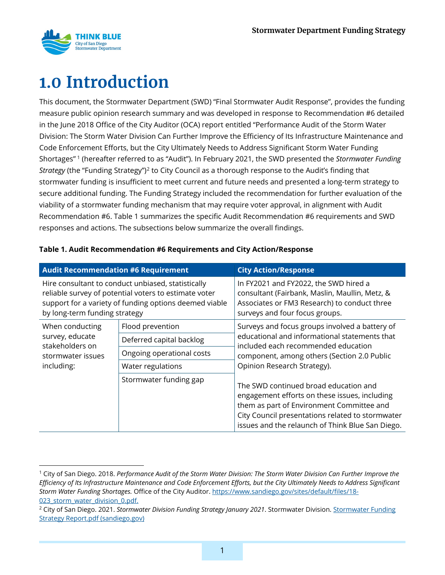

## <span id="page-4-0"></span>**1.0 Introduction**

This document, the Stormwater Department (SWD) "Final Stormwater Audit Response", provides the funding measure public opinion research summary and was developed in response to Recommendation #6 detailed in the June 2018 Office of the City Auditor (OCA) report entitled "Performance Audit of the Storm Water Division: The Storm Water Division Can Further Improve the Efficiency of Its Infrastructure Maintenance and Code Enforcement Efforts, but the City Ultimately Needs to Address Significant Storm Water Funding Shortages" [1](#page-4-2) (hereafter referred to as "Audit"). In February 2021, the SWD presented the *Stormwater Funding Strategy* (the "Funding Strategy")<sup>[2](#page-4-3)</sup> to City Council as a thorough response to the Audit's finding that stormwater funding is insufficient to meet current and future needs and presented a long-term strategy to secure additional funding. The Funding Strategy included the recommendation for further evaluation of the viability of a stormwater funding mechanism that may require voter approval, in alignment with Audit Recommendation #6. [Table 1](#page-4-1) summarizes the specific Audit Recommendation #6 requirements and SWD responses and actions. The subsections below summarize the overall findings.

| <b>Audit Recommendation #6 Requirement</b>                                                                                                                                                             |                           | <b>City Action/Response</b>                                                                                                                                                                                                                 |
|--------------------------------------------------------------------------------------------------------------------------------------------------------------------------------------------------------|---------------------------|---------------------------------------------------------------------------------------------------------------------------------------------------------------------------------------------------------------------------------------------|
| Hire consultant to conduct unbiased, statistically<br>reliable survey of potential voters to estimate voter<br>support for a variety of funding options deemed viable<br>by long-term funding strategy |                           | In FY2021 and FY2022, the SWD hired a<br>consultant (Fairbank, Maslin, Maullin, Metz, &<br>Associates or FM3 Research) to conduct three<br>surveys and four focus groups.                                                                   |
| When conducting<br>survey, educate<br>stakeholders on<br>stormwater issues<br>including:                                                                                                               | Flood prevention          | Surveys and focus groups involved a battery of                                                                                                                                                                                              |
|                                                                                                                                                                                                        | Deferred capital backlog  | educational and informational statements that<br>included each recommended education                                                                                                                                                        |
|                                                                                                                                                                                                        | Ongoing operational costs | component, among others (Section 2.0 Public                                                                                                                                                                                                 |
|                                                                                                                                                                                                        | Water regulations         | Opinion Research Strategy).                                                                                                                                                                                                                 |
|                                                                                                                                                                                                        | Stormwater funding gap    | The SWD continued broad education and<br>engagement efforts on these issues, including<br>them as part of Environment Committee and<br>City Council presentations related to stormwater<br>issues and the relaunch of Think Blue San Diego. |

### <span id="page-4-1"></span>**Table 1. Audit Recommendation #6 Requirements and City Action/Response**

<span id="page-4-2"></span><sup>1</sup> City of San Diego. 2018. *Performance Audit of the Storm Water Division: The Storm Water Division Can Further Improve the Efficiency of Its Infrastructure Maintenance and Code Enforcement Efforts, but the City Ultimately Needs to Address Significant Storm Water Funding Shortages.* Office of the City Auditor. [https://www.sandiego.gov/sites/default/files/18-](https://www.sandiego.gov/sites/default/files/18-023_storm_water_division_0.pdf) [023\\_storm\\_water\\_division\\_0.pdf.](https://www.sandiego.gov/sites/default/files/18-023_storm_water_division_0.pdf)

<span id="page-4-3"></span><sup>2</sup> City of San Diego. 2021. *Stormwater Division Funding Strategy January 2021*. Stormwater Division. [Stormwater Funding](https://onbase.sandiego.gov/OnBaseAgendaOnline/Documents/ViewDocument/Stormwater%20Funding%20Strategy%20Report.pdf?meetingId=4248&documentType=Agenda&itemId=195665&publishId=451393&isSection=false)  [Strategy Report.pdf \(sandiego.gov\)](https://onbase.sandiego.gov/OnBaseAgendaOnline/Documents/ViewDocument/Stormwater%20Funding%20Strategy%20Report.pdf?meetingId=4248&documentType=Agenda&itemId=195665&publishId=451393&isSection=false)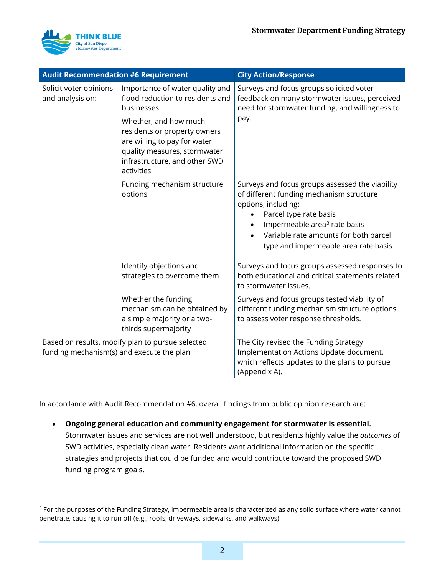

| <b>Audit Recommendation #6 Requirement</b>                                                    |                                                                                                                                                                      | <b>City Action/Response</b>                                                                                                                                                                                                                                               |  |
|-----------------------------------------------------------------------------------------------|----------------------------------------------------------------------------------------------------------------------------------------------------------------------|---------------------------------------------------------------------------------------------------------------------------------------------------------------------------------------------------------------------------------------------------------------------------|--|
| Solicit voter opinions<br>and analysis on:                                                    | Importance of water quality and<br>flood reduction to residents and<br>businesses                                                                                    | Surveys and focus groups solicited voter<br>feedback on many stormwater issues, perceived<br>need for stormwater funding, and willingness to                                                                                                                              |  |
|                                                                                               | Whether, and how much<br>residents or property owners<br>are willing to pay for water<br>quality measures, stormwater<br>infrastructure, and other SWD<br>activities | pay.                                                                                                                                                                                                                                                                      |  |
|                                                                                               | Funding mechanism structure<br>options                                                                                                                               | Surveys and focus groups assessed the viability<br>of different funding mechanism structure<br>options, including:<br>Parcel type rate basis<br>Impermeable area <sup>3</sup> rate basis<br>Variable rate amounts for both parcel<br>type and impermeable area rate basis |  |
|                                                                                               | Identify objections and<br>strategies to overcome them                                                                                                               | Surveys and focus groups assessed responses to<br>both educational and critical statements related<br>to stormwater issues.                                                                                                                                               |  |
|                                                                                               | Whether the funding<br>mechanism can be obtained by<br>a simple majority or a two-<br>thirds supermajority                                                           | Surveys and focus groups tested viability of<br>different funding mechanism structure options<br>to assess voter response thresholds.                                                                                                                                     |  |
| Based on results, modify plan to pursue selected<br>funding mechanism(s) and execute the plan |                                                                                                                                                                      | The City revised the Funding Strategy<br>Implementation Actions Update document,<br>which reflects updates to the plans to pursue<br>(Appendix A).                                                                                                                        |  |

In accordance with Audit Recommendation #6, overall findings from public opinion research are:

• **Ongoing general education and community engagement for stormwater is essential.**  Stormwater issues and services are not well understood, but residents highly value the *outcomes* of SWD activities, especially clean water. Residents want additional information on the specific strategies and projects that could be funded and would contribute toward the proposed SWD funding program goals.

<span id="page-5-0"></span><sup>&</sup>lt;sup>3</sup> For the purposes of the Funding Strategy, impermeable area is characterized as any solid surface where water cannot penetrate, causing it to run off (e.g., roofs, driveways, sidewalks, and walkways)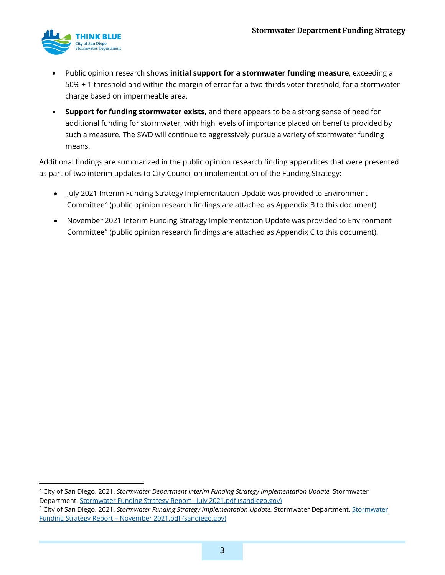

- Public opinion research shows **initial support for a stormwater funding measure**, exceeding a 50% + 1 threshold and within the margin of error for a two-thirds voter threshold, for a stormwater charge based on impermeable area.
- **Support for funding stormwater exists,** and there appears to be a strong sense of need for additional funding for stormwater, with high levels of importance placed on benefits provided by such a measure. The SWD will continue to aggressively pursue a variety of stormwater funding means.

Additional findings are summarized in the public opinion research finding appendices that were presented as part of two interim updates to City Council on implementation of the Funding Strategy:

- July 2021 Interim Funding Strategy Implementation Update was provided to Environment Committee[4](#page-6-0) (public opinion research findings are attached as Appendix B to this document)
- November 2021 Interim Funding Strategy Implementation Update was provided to Environment Committee<sup>[5](#page-6-1)</sup> (public opinion research findings are attached as Appendix C to this document).

<span id="page-6-0"></span><sup>4</sup> City of San Diego. 2021. *Stormwater Department Interim Funding Strategy Implementation Update.* Stormwater Department. [Stormwater Funding Strategy Report -](https://onbase.sandiego.gov/OnBaseAgendaOnline/Documents/ViewDocument/Stormwater%20Funding%20Strategy%20Report%20-%20July%202021.pdf?meetingId=4505&documentType=Agenda&itemId=199572&publishId=497776&isSection=false) July 2021.pdf (sandiego.gov)

<span id="page-6-1"></span><sup>5</sup> City of San Diego. 2021. *Stormwater Funding Strategy Implementation Update.* Stormwater Department[. Stormwater](https://www.sandiego.gov/sites/default/files/thinkbluestaffreportnov2021.pdf)  Funding Strategy Report – [November 2021.pdf \(sandiego.gov\)](https://www.sandiego.gov/sites/default/files/thinkbluestaffreportnov2021.pdf)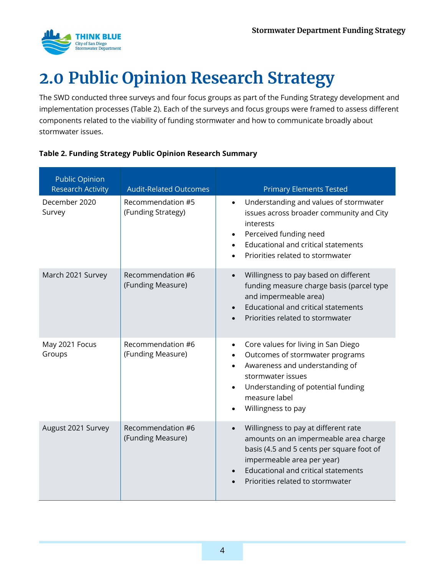

# <span id="page-7-0"></span>**2.0 Public Opinion Research Strategy**

The SWD conducted three surveys and four focus groups as part of the Funding Strategy development and implementation processes [\(Table 2\)](#page-7-1). Each of the surveys and focus groups were framed to assess different components related to the viability of funding stormwater and how to communicate broadly about stormwater issues.

| <b>Public Opinion</b><br><b>Research Activity</b> | <b>Audit-Related Outcomes</b>           | <b>Primary Elements Tested</b>                                                                                                                                                                                                             |
|---------------------------------------------------|-----------------------------------------|--------------------------------------------------------------------------------------------------------------------------------------------------------------------------------------------------------------------------------------------|
| December 2020<br>Survey                           | Recommendation #5<br>(Funding Strategy) | Understanding and values of stormwater<br>$\bullet$<br>issues across broader community and City<br>interests<br>Perceived funding need<br><b>Educational and critical statements</b><br>Priorities related to stormwater                   |
| March 2021 Survey                                 | Recommendation #6<br>(Funding Measure)  | Willingness to pay based on different<br>funding measure charge basis (parcel type<br>and impermeable area)<br><b>Educational and critical statements</b><br>Priorities related to stormwater                                              |
| May 2021 Focus<br>Groups                          | Recommendation #6<br>(Funding Measure)  | Core values for living in San Diego<br>$\bullet$<br>Outcomes of stormwater programs<br>Awareness and understanding of<br>stormwater issues<br>Understanding of potential funding<br>measure label<br>Willingness to pay                    |
| August 2021 Survey                                | Recommendation #6<br>(Funding Measure)  | Willingness to pay at different rate<br>amounts on an impermeable area charge<br>basis (4.5 and 5 cents per square foot of<br>impermeable area per year)<br><b>Educational and critical statements</b><br>Priorities related to stormwater |

### <span id="page-7-1"></span>**Table 2. Funding Strategy Public Opinion Research Summary**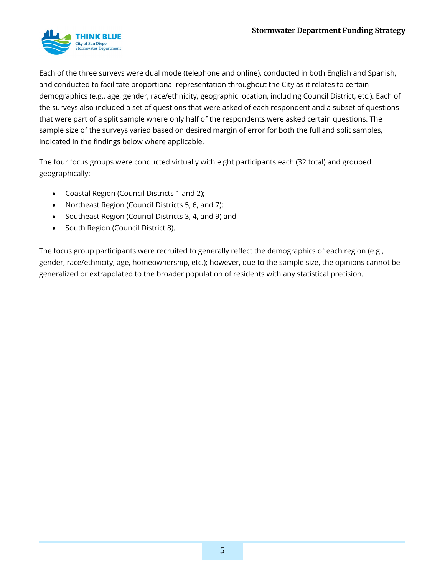

Each of the three surveys were dual mode (telephone and online), conducted in both English and Spanish, and conducted to facilitate proportional representation throughout the City as it relates to certain demographics (e.g., age, gender, race/ethnicity, geographic location, including Council District, etc.). Each of the surveys also included a set of questions that were asked of each respondent and a subset of questions that were part of a split sample where only half of the respondents were asked certain questions. The sample size of the surveys varied based on desired margin of error for both the full and split samples, indicated in the findings below where applicable.

The four focus groups were conducted virtually with eight participants each (32 total) and grouped geographically:

- Coastal Region (Council Districts 1 and 2);
- Northeast Region (Council Districts 5, 6, and 7);
- Southeast Region (Council Districts 3, 4, and 9) and
- South Region (Council District 8).

The focus group participants were recruited to generally reflect the demographics of each region (e.g., gender, race/ethnicity, age, homeownership, etc.); however, due to the sample size, the opinions cannot be generalized or extrapolated to the broader population of residents with any statistical precision.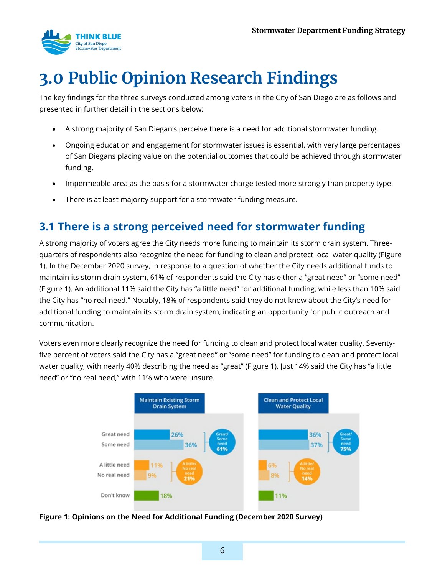

# <span id="page-9-0"></span>**3.0 Public Opinion Research Findings**

The key findings for the three surveys conducted among voters in the City of San Diego are as follows and presented in further detail in the sections below:

- A strong majority of San Diegan's perceive there is a need for additional stormwater funding.
- Ongoing education and engagement for stormwater issues is essential, with very large percentages of San Diegans placing value on the potential outcomes that could be achieved through stormwater funding.
- Impermeable area as the basis for a stormwater charge tested more strongly than property type.
- There is at least majority support for a stormwater funding measure.

### <span id="page-9-1"></span>**3.1 There is a strong perceived need for stormwater funding**

A strong majority of voters agree the City needs more funding to maintain its storm drain system. Threequarters of respondents also recognize the need for funding to clean and protect local water quality [\(Figure](#page-9-2)  [1\)](#page-9-2). In the December 2020 survey, in response to a question of whether the City needs additional funds to maintain its storm drain system, 61% of respondents said the City has either a "great need" or "some need" (Figure 1). An additional 11% said the City has "a little need" for additional funding, while less than 10% said the City has "no real need." Notably, 18% of respondents said they do not know about the City's need for additional funding to maintain its storm drain system, indicating an opportunity for public outreach and communication.

Voters even more clearly recognize the need for funding to clean and protect local water quality. Seventyfive percent of voters said the City has a "great need" or "some need" for funding to clean and protect local water quality, with nearly 40% describing the need as "great" (Figure 1). Just 14% said the City has "a little need" or "no real need," with 11% who were unsure.



<span id="page-9-2"></span>**Figure 1: Opinions on the Need for Additional Funding (December 2020 Survey)**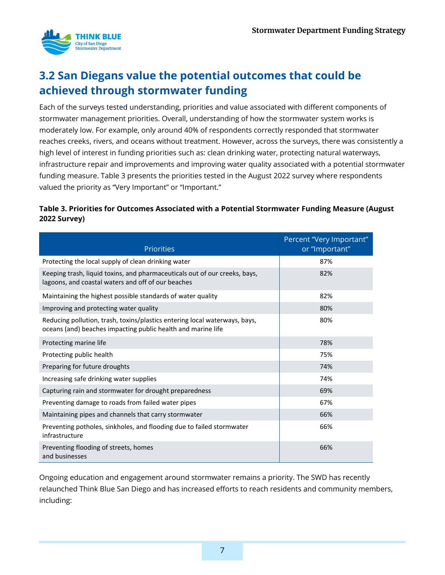

## <span id="page-10-0"></span>**3.2 San Diegans value the potential outcomes that could be achieved through stormwater funding**

Each of the surveys tested understanding, priorities and value associated with different components of stormwater management priorities. Overall, understanding of how the stormwater system works is moderately low. For example, only around 40% of respondents correctly responded that stormwater reaches creeks, rivers, and oceans without treatment. However, across the surveys, there was consistently a high level of interest in funding priorities such as: clean drinking water, protecting natural waterways, infrastructure repair and improvements and improving water quality associated with a potential stormwater funding measure. [Table 3](#page-10-1) presents the priorities tested in the August 2022 survey where respondents valued the priority as "Very Important" or "Important."

### <span id="page-10-1"></span>**Table 3. Priorities for Outcomes Associated with a Potential Stormwater Funding Measure (August 2022 Survey)**

| <b>Priorities</b>                                                                                                                          | Percent "Very Important"<br>or "Important" |
|--------------------------------------------------------------------------------------------------------------------------------------------|--------------------------------------------|
| Protecting the local supply of clean drinking water                                                                                        | 87%                                        |
| Keeping trash, liquid toxins, and pharmaceuticals out of our creeks, bays,<br>lagoons, and coastal waters and off of our beaches           | 82%                                        |
| Maintaining the highest possible standards of water quality                                                                                | 82%                                        |
| Improving and protecting water quality                                                                                                     | 80%                                        |
| Reducing pollution, trash, toxins/plastics entering local waterways, bays,<br>oceans (and) beaches impacting public health and marine life | 80%                                        |
| Protecting marine life                                                                                                                     | 78%                                        |
| Protecting public health                                                                                                                   | 75%                                        |
| Preparing for future droughts                                                                                                              | 74%                                        |
| Increasing safe drinking water supplies                                                                                                    | 74%                                        |
| Capturing rain and stormwater for drought preparedness                                                                                     | 69%                                        |
| Preventing damage to roads from failed water pipes                                                                                         | 67%                                        |
| Maintaining pipes and channels that carry stormwater                                                                                       | 66%                                        |
| Preventing potholes, sinkholes, and flooding due to failed stormwater<br>infrastructure                                                    | 66%                                        |
| Preventing flooding of streets, homes<br>and businesses                                                                                    | 66%                                        |

Ongoing education and engagement around stormwater remains a priority. The SWD has recently relaunched Think Blue San Diego and has increased efforts to reach residents and community members, including: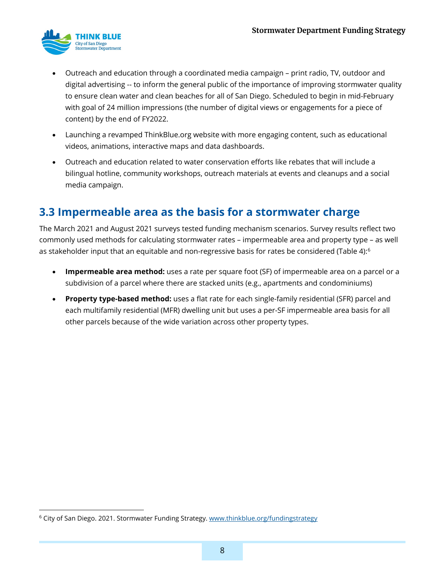

- Outreach and education through a coordinated media campaign print radio, TV, outdoor and digital advertising -- to inform the general public of the importance of improving stormwater quality to ensure clean water and clean beaches for all of San Diego. Scheduled to begin in mid-February with goal of 24 million impressions (the number of digital views or engagements for a piece of content) by the end of FY2022.
- Launching a revamped ThinkBlue.org website with more engaging content, such as educational videos, animations, interactive maps and data dashboards.
- Outreach and education related to water conservation efforts like rebates that will include a bilingual hotline, community workshops, outreach materials at events and cleanups and a social media campaign.

## <span id="page-11-0"></span>**3.3 Impermeable area as the basis for a stormwater charge**

The March 2021 and August 2021 surveys tested funding mechanism scenarios. Survey results reflect two commonly used methods for calculating stormwater rates – impermeable area and property type – as well as stakeholder input that an equitable and non-regressive basis for rates be considered [\(Table 4\)](#page-12-1):<sup>[6](#page-11-1)</sup>

- **Impermeable area method:** uses a rate per square foot (SF) of impermeable area on a parcel or a subdivision of a parcel where there are stacked units (e.g., apartments and condominiums)
- **Property type-based method:** uses a flat rate for each single-family residential (SFR) parcel and each multifamily residential (MFR) dwelling unit but uses a per-SF impermeable area basis for all other parcels because of the wide variation across other property types.

<span id="page-11-1"></span><sup>&</sup>lt;sup>6</sup> City of San Diego. 2021. Stormwater Funding Strategy. www.thinkblue.org/fundingstrategy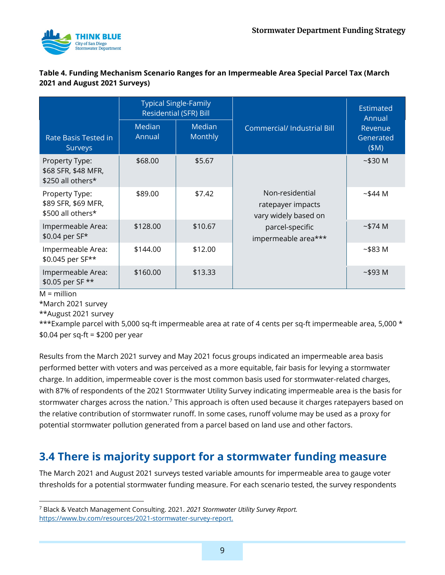

#### <span id="page-12-1"></span>**Table 4. Funding Mechanism Scenario Ranges for an Impermeable Area Special Parcel Tax (March 2021 and August 2021 Surveys)**

|                                                            | <b>Typical Single-Family</b><br><b>Residential (SFR) Bill</b> |                   |                                                                                                        | <b>Estimated</b><br>Annual                |
|------------------------------------------------------------|---------------------------------------------------------------|-------------------|--------------------------------------------------------------------------------------------------------|-------------------------------------------|
| Rate Basis Tested in<br>Surveys                            | Median<br>Annual                                              | Median<br>Monthly | <b>Commercial/Industrial Bill</b>                                                                      | Revenue<br>Generated<br>(M <sup>2</sup> ) |
| Property Type:<br>\$68 SFR, \$48 MFR,<br>\$250 all others* | \$68.00                                                       | \$5.67            | Non-residential<br>ratepayer impacts<br>vary widely based on<br>parcel-specific<br>impermeable area*** | ~530~M                                    |
| Property Type:<br>\$89 SFR, \$69 MFR,<br>\$500 all others* | \$89.00                                                       | \$7.42            |                                                                                                        | ~544~M                                    |
| Impermeable Area:<br>\$0.04 per SF*                        | \$128.00                                                      | \$10.67           |                                                                                                        | ~574~M                                    |
| Impermeable Area:<br>\$0.045 per SF**                      | \$144.00                                                      | \$12.00           |                                                                                                        | ~583~M                                    |
| Impermeable Area:<br>\$0.05 per SF **                      | \$160.00                                                      | \$13.33           |                                                                                                        | ~593~M                                    |

 $M =$  million

\*March 2021 survey

\*\*August 2021 survey

\*\*\*Example parcel with 5,000 sq-ft impermeable area at rate of 4 cents per sq-ft impermeable area, 5,000 \* \$0.04 per sq-ft = \$200 per year

Results from the March 2021 survey and May 2021 focus groups indicated an impermeable area basis performed better with voters and was perceived as a more equitable, fair basis for levying a stormwater charge. In addition, impermeable cover is the most common basis used for stormwater-related charges, with 87% of respondents of the 2021 Stormwater Utility Survey indicating impermeable area is the basis for stormwater charges across the nation.<sup>[7](#page-12-2)</sup> This approach is often used because it charges ratepayers based on the relative contribution of stormwater runoff. In some cases, runoff volume may be used as a proxy for potential stormwater pollution generated from a parcel based on land use and other factors.

## <span id="page-12-0"></span>**3.4 There is majority support for a stormwater funding measure**

The March 2021 and August 2021 surveys tested variable amounts for impermeable area to gauge voter thresholds for a potential stormwater funding measure. For each scenario tested, the survey respondents

<span id="page-12-2"></span><sup>7</sup> Black & Veatch Management Consulting. 2021. *2021 Stormwater Utility Survey Report.* [https://www.bv.com/resources/2021-stormwater-survey-report.](https://www.bv.com/resources/2021-stormwater-survey-report)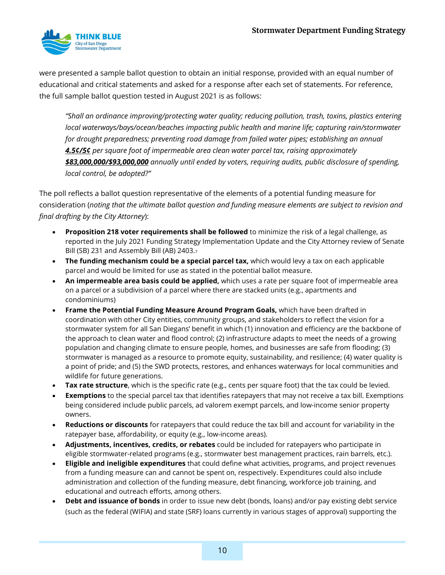

were presented a sample ballot question to obtain an initial response, provided with an equal number of educational and critical statements and asked for a response after each set of statements. For reference, the full sample ballot question tested in August 2021 is as follows:

*"Shall an ordinance improving/protecting water quality; reducing pollution, trash, toxins, plastics entering local waterways/bays/ocean/beaches impacting public health and marine life; capturing rain/stormwater for drought preparedness; preventing road damage from failed water pipes; establishing an annual 4.5¢/5¢ per square foot of impermeable area clean water parcel tax, raising approximately \$83,000,000/\$93,000,000 annually until ended by voters, requiring audits, public disclosure of spending, local control, be adopted?"*

The poll reflects a ballot question representative of the elements of a potential funding measure for consideration (*noting that the ultimate ballot question and funding measure elements are subject to revision and final drafting by the City Attorney*):

- **Proposition 218 voter requirements shall be followed** to minimize the risk of a legal challenge, as reported in the July 2021 Funding Strategy Implementation Update and the City Attorney review of Senate Bill (SB) 231 and Assembly Bill (AB) 2403.7
- **The funding mechanism could be a special parcel tax,** which would levy a tax on each applicable parcel and would be limited for use as stated in the potential ballot measure.
- **An impermeable area basis could be applied,** which uses a rate per square foot of impermeable area on a parcel or a subdivision of a parcel where there are stacked units (e.g., apartments and condominiums)
- **Frame the Potential Funding Measure Around Program Goals,** which have been drafted in coordination with other City entities, community groups, and stakeholders to reflect the vision for a stormwater system for all San Diegans' benefit in which (1) innovation and efficiency are the backbone of the approach to clean water and flood control; (2) infrastructure adapts to meet the needs of a growing population and changing climate to ensure people, homes, and businesses are safe from flooding; (3) stormwater is managed as a resource to promote equity, sustainability, and resilience; (4) water quality is a point of pride; and (5) the SWD protects, restores, and enhances waterways for local communities and wildlife for future generations.
- **Tax rate structure**, which is the specific rate (e.g., cents per square foot) that the tax could be levied.
- **Exemptions** to the special parcel tax that identifies ratepayers that may not receive a tax bill. Exemptions being considered include public parcels, ad valorem exempt parcels, and low-income senior property owners.
- **Reductions or discounts** for ratepayers that could reduce the tax bill and account for variability in the ratepayer base, affordability, or equity (e.g., low-income areas).
- **Adjustments, incentives, credits, or rebates** could be included for ratepayers who participate in eligible stormwater-related programs (e.g., stormwater best management practices, rain barrels, etc.).
- **Eligible and ineligible expenditures** that could define what activities, programs, and project revenues from a funding measure can and cannot be spent on, respectively. Expenditures could also include administration and collection of the funding measure, debt financing, workforce job training, and educational and outreach efforts, among others.
- **Debt and issuance of bonds** in order to issue new debt (bonds, loans) and/or pay existing debt service (such as the federal (WIFIA) and state (SRF) loans currently in various stages of approval) supporting the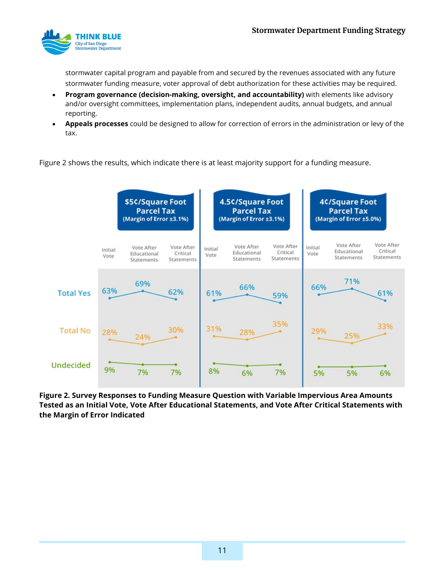

stormwater capital program and payable from and secured by the revenues associated with any future stormwater funding measure, voter approval of debt authorization for these activities may be required.

- **Program governance (decision-making, oversight, and accountability)** with elements like advisory and/or oversight committees, implementation plans, independent audits, annual budgets, and annual reporting.
- **Appeals processes** could be designed to allow for correction of errors in the administration or levy of the tax.

[Figure 2](#page-14-0) shows the results, which indicate there is at least majority support for a funding measure.



<span id="page-14-0"></span>**Figure 2. Survey Responses to Funding Measure Question with Variable Impervious Area Amounts Tested as an Initial Vote, Vote After Educational Statements, and Vote After Critical Statements with the Margin of Error Indicated**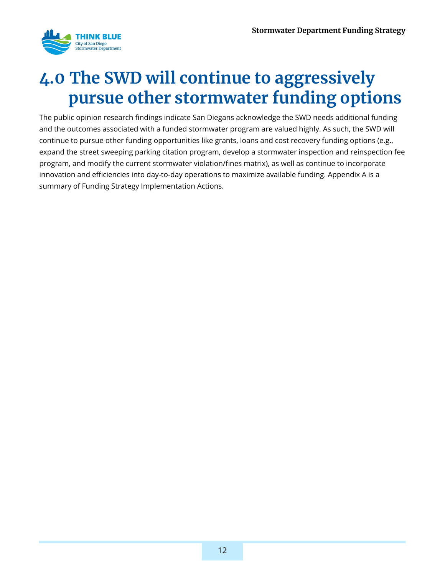

## <span id="page-15-0"></span>**4.0 The SWD will continue to aggressively pursue other stormwater funding options**

The public opinion research findings indicate San Diegans acknowledge the SWD needs additional funding and the outcomes associated with a funded stormwater program are valued highly. As such, the SWD will continue to pursue other funding opportunities like grants, loans and cost recovery funding options (e.g., expand the street sweeping parking citation program, develop a stormwater inspection and reinspection fee program, and modify the current stormwater violation/fines matrix), as well as continue to incorporate innovation and efficiencies into day-to-day operations to maximize available funding. Appendix A is a summary of Funding Strategy Implementation Actions.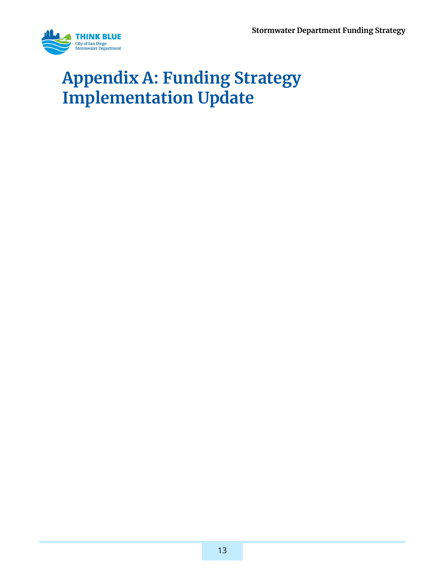

## <span id="page-16-0"></span>**Appendix A: Funding Strategy Implementation Update**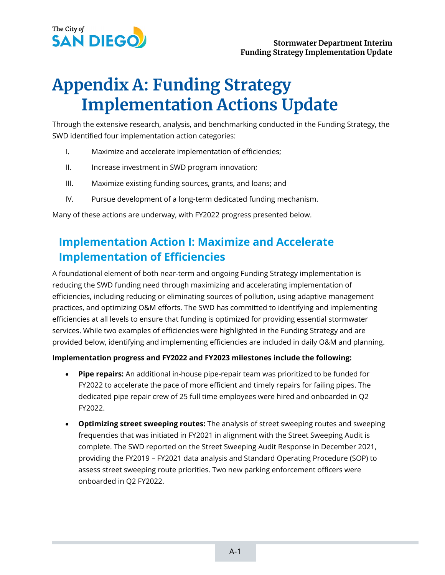

## **Appendix A: Funding Strategy Implementation Actions Update**

Through the extensive research, analysis, and benchmarking conducted in the Funding Strategy, the SWD identified four implementation action categories:

- I. Maximize and accelerate implementation of efficiencies;
- II. Increase investment in SWD program innovation;
- III. Maximize existing funding sources, grants, and loans; and
- IV. Pursue development of a long-term dedicated funding mechanism.

Many of these actions are underway, with FY2022 progress presented below.

## **Implementation Action I: Maximize and Accelerate Implementation of Efficiencies**

A foundational element of both near-term and ongoing Funding Strategy implementation is reducing the SWD funding need through maximizing and accelerating implementation of efficiencies, including reducing or eliminating sources of pollution, using adaptive management practices, and optimizing O&M efforts. The SWD has committed to identifying and implementing efficiencies at all levels to ensure that funding is optimized for providing essential stormwater services. While two examples of efficiencies were highlighted in the Funding Strategy and are provided below, identifying and implementing efficiencies are included in daily O&M and planning.

#### **Implementation progress and FY2022 and FY2023 milestones include the following:**

- **Pipe repairs:** An additional in-house pipe-repair team was prioritized to be funded for FY2022 to accelerate the pace of more efficient and timely repairs for failing pipes. The dedicated pipe repair crew of 25 full time employees were hired and onboarded in Q2 FY2022.
- **Optimizing street sweeping routes:** The analysis of street sweeping routes and sweeping frequencies that was initiated in FY2021 in alignment with the Street Sweeping Audit is complete. The SWD reported on the Street Sweeping Audit Response in December 2021, providing the FY2019 – FY2021 data analysis and Standard Operating Procedure (SOP) to assess street sweeping route priorities. Two new parking enforcement officers were onboarded in Q2 FY2022.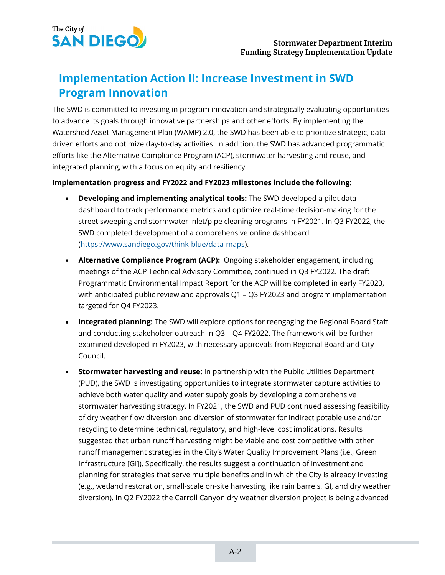

## **Implementation Action II: Increase Investment in SWD Program Innovation**

The SWD is committed to investing in program innovation and strategically evaluating opportunities to advance its goals through innovative partnerships and other efforts. By implementing the Watershed Asset Management Plan (WAMP) 2.0, the SWD has been able to prioritize strategic, datadriven efforts and optimize day-to-day activities. In addition, the SWD has advanced programmatic efforts like the Alternative Compliance Program (ACP), stormwater harvesting and reuse, and integrated planning, with a focus on equity and resiliency.

#### **Implementation progress and FY2022 and FY2023 milestones include the following:**

- **Developing and implementing analytical tools:** The SWD developed a pilot data dashboard to track performance metrics and optimize real-time decision-making for the street sweeping and stormwater inlet/pipe cleaning programs in FY2021. In Q3 FY2022, the SWD completed development of a comprehensive online dashboard [\(https://www.sandiego.gov/think-blue/data-maps\)](https://www.sandiego.gov/think-blue/data-maps).
- **Alternative Compliance Program (ACP):** Ongoing stakeholder engagement, including meetings of the ACP Technical Advisory Committee, continued in Q3 FY2022. The draft Programmatic Environmental Impact Report for the ACP will be completed in early FY2023, with anticipated public review and approvals Q1 – Q3 FY2023 and program implementation targeted for Q4 FY2023.
- **Integrated planning:** The SWD will explore options for reengaging the Regional Board Staff and conducting stakeholder outreach in Q3 – Q4 FY2022. The framework will be further examined developed in FY2023, with necessary approvals from Regional Board and City Council.
- **Stormwater harvesting and reuse:** In partnership with the Public Utilities Department (PUD), the SWD is investigating opportunities to integrate stormwater capture activities to achieve both water quality and water supply goals by developing a comprehensive stormwater harvesting strategy. In FY2021, the SWD and PUD continued assessing feasibility of dry weather flow diversion and diversion of stormwater for indirect potable use and/or recycling to determine technical, regulatory, and high-level cost implications. Results suggested that urban runoff harvesting might be viable and cost competitive with other runoff management strategies in the City's Water Quality Improvement Plans (i.e., Green Infrastructure [GI]). Specifically, the results suggest a continuation of investment and planning for strategies that serve multiple benefits and in which the City is already investing (e.g., wetland restoration, small-scale on-site harvesting like rain barrels, GI, and dry weather diversion). In Q2 FY2022 the Carroll Canyon dry weather diversion project is being advanced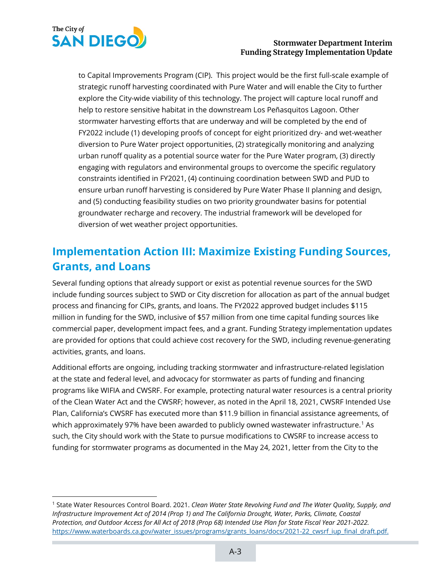

#### **Stormwater Department Interim Funding Strategy Implementation Update**

to Capital Improvements Program (CIP). This project would be the first full-scale example of strategic runoff harvesting coordinated with Pure Water and will enable the City to further explore the City-wide viability of this technology. The project will capture local runoff and help to restore sensitive habitat in the downstream Los Peñasquitos Lagoon. Other stormwater harvesting efforts that are underway and will be completed by the end of FY2022 include (1) developing proofs of concept for eight prioritized dry- and wet-weather diversion to Pure Water project opportunities, (2) strategically monitoring and analyzing urban runoff quality as a potential source water for the Pure Water program, (3) directly engaging with regulators and environmental groups to overcome the specific regulatory constraints identified in FY2021, (4) continuing coordination between SWD and PUD to ensure urban runoff harvesting is considered by Pure Water Phase II planning and design, and (5) conducting feasibility studies on two priority groundwater basins for potential groundwater recharge and recovery. The industrial framework will be developed for diversion of wet weather project opportunities.

## **Implementation Action III: Maximize Existing Funding Sources, Grants, and Loans**

Several funding options that already support or exist as potential revenue sources for the SWD include funding sources subject to SWD or City discretion for allocation as part of the annual budget process and financing for CIPs, grants, and loans. The FY2022 approved budget includes \$115 million in funding for the SWD, inclusive of \$57 million from one time capital funding sources like commercial paper, development impact fees, and a grant. Funding Strategy implementation updates are provided for options that could achieve cost recovery for the SWD, including revenue-generating activities, grants, and loans.

Additional efforts are ongoing, including tracking stormwater and infrastructure-related legislation at the state and federal level, and advocacy for stormwater as parts of funding and financing programs like WIFIA and CWSRF. For example, protecting natural water resources is a central priority of the Clean Water Act and the CWSRF; however, as noted in the April 18, 2021, CWSRF Intended Use Plan, California's CWSRF has executed more than \$11.9 billion in financial assistance agreements, of which approximately 97% have been awarded to publicly owned wastewater infrastructure. [1](#page-19-0) As such, the City should work with the State to pursue modifications to CWSRF to increase access to funding for stormwater programs as documented in the May 24, 2021, letter from the City to the

<span id="page-19-0"></span><sup>1</sup> State Water Resources Control Board. 2021. *Clean Water State Revolving Fund and The Water Quality, Supply, and Infrastructure Improvement Act of 2014 (Prop 1) and The California Drought, Water, Parks, Climate, Coastal Protection, and Outdoor Access for All Act of 2018 (Prop 68) Intended Use Plan for State Fiscal Year 2021-2022.* [https://www.waterboards.ca.gov/water\\_issues/programs/grants\\_loans/docs/2021-22\\_cwsrf\\_iup\\_final\\_draft.pdf.](https://www.waterboards.ca.gov/water_issues/programs/grants_loans/docs/2021-22_cwsrf_iup_final_draft.pdf)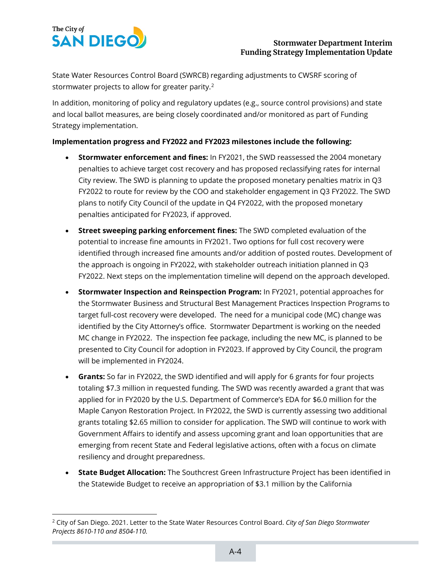

State Water Resources Control Board (SWRCB) regarding adjustments to CWSRF scoring of stormwater projects to allow for greater parity. $^2$  $^2$ 

In addition, monitoring of policy and regulatory updates (e.g., source control provisions) and state and local ballot measures, are being closely coordinated and/or monitored as part of Funding Strategy implementation.

#### **Implementation progress and FY2022 and FY2023 milestones include the following:**

- **Stormwater enforcement and fines:** In FY2021, the SWD reassessed the 2004 monetary penalties to achieve target cost recovery and has proposed reclassifying rates for internal City review. The SWD is planning to update the proposed monetary penalties matrix in Q3 FY2022 to route for review by the COO and stakeholder engagement in Q3 FY2022. The SWD plans to notify City Council of the update in Q4 FY2022, with the proposed monetary penalties anticipated for FY2023, if approved.
- **Street sweeping parking enforcement fines:** The SWD completed evaluation of the potential to increase fine amounts in FY2021. Two options for full cost recovery were identified through increased fine amounts and/or addition of posted routes. Development of the approach is ongoing in FY2022, with stakeholder outreach initiation planned in Q3 FY2022. Next steps on the implementation timeline will depend on the approach developed.
- **Stormwater Inspection and Reinspection Program:** In FY2021, potential approaches for the Stormwater Business and Structural Best Management Practices Inspection Programs to target full-cost recovery were developed. The need for a municipal code (MC) change was identified by the City Attorney's office. Stormwater Department is working on the needed MC change in FY2022. The inspection fee package, including the new MC, is planned to be presented to City Council for adoption in FY2023. If approved by City Council, the program will be implemented in FY2024.
- **Grants:** So far in FY2022, the SWD identified and will apply for 6 grants for four projects totaling \$7.3 million in requested funding. The SWD was recently awarded a grant that was applied for in FY2020 by the U.S. Department of Commerce's EDA for \$6.0 million for the Maple Canyon Restoration Project. In FY2022, the SWD is currently assessing two additional grants totaling \$2.65 million to consider for application. The SWD will continue to work with Government Affairs to identify and assess upcoming grant and loan opportunities that are emerging from recent State and Federal legislative actions, often with a focus on climate resiliency and drought preparedness.
- **State Budget Allocation:** The Southcrest Green Infrastructure Project has been identified in the Statewide Budget to receive an appropriation of \$3.1 million by the California

<span id="page-20-0"></span><sup>2</sup> City of San Diego. 2021. Letter to the State Water Resources Control Board. *City of San Diego Stormwater Projects 8610-110 and 8504-110.*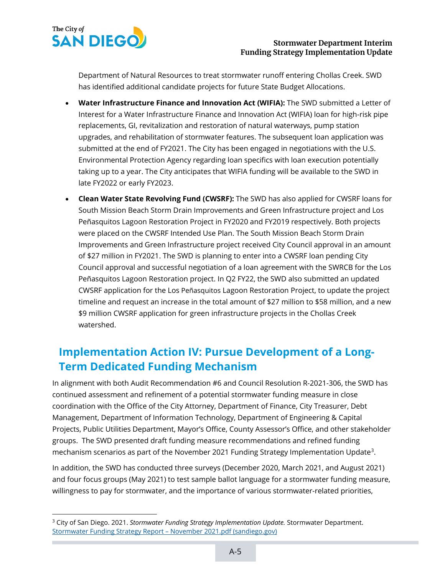

Department of Natural Resources to treat stormwater runoff entering Chollas Creek. SWD has identified additional candidate projects for future State Budget Allocations.

- **Water Infrastructure Finance and Innovation Act (WIFIA):** The SWD submitted a Letter of Interest for a Water Infrastructure Finance and Innovation Act (WIFIA) loan for high-risk pipe replacements, GI, revitalization and restoration of natural waterways, pump station upgrades, and rehabilitation of stormwater features. The subsequent loan application was submitted at the end of FY2021. The City has been engaged in negotiations with the U.S. Environmental Protection Agency regarding loan specifics with loan execution potentially taking up to a year. The City anticipates that WIFIA funding will be available to the SWD in late FY2022 or early FY2023.
- **Clean Water State Revolving Fund (CWSRF):** The SWD has also applied for CWSRF loans for South Mission Beach Storm Drain Improvements and Green Infrastructure project and Los Peñasquitos Lagoon Restoration Project in FY2020 and FY2019 respectively. Both projects were placed on the CWSRF Intended Use Plan. The South Mission Beach Storm Drain Improvements and Green Infrastructure project received City Council approval in an amount of \$27 million in FY2021. The SWD is planning to enter into a CWSRF loan pending City Council approval and successful negotiation of a loan agreement with the SWRCB for the Los Peñasquitos Lagoon Restoration project. In Q2 FY22, the SWD also submitted an updated CWSRF application for the Los Peñasquitos Lagoon Restoration Project, to update the project timeline and request an increase in the total amount of \$27 million to \$58 million, and a new \$9 million CWSRF application for green infrastructure projects in the Chollas Creek watershed.

## **Implementation Action IV: Pursue Development of a Long-Term Dedicated Funding Mechanism**

In alignment with both Audit Recommendation #6 and Council Resolution R-2021-306, the SWD has continued assessment and refinement of a potential stormwater funding measure in close coordination with the Office of the City Attorney, Department of Finance, City Treasurer, Debt Management, Department of Information Technology, Department of Engineering & Capital Projects, Public Utilities Department, Mayor's Office, County Assessor's Office, and other stakeholder groups. The SWD presented draft funding measure recommendations and refined funding mechanism scenarios as part of the November 2021 Funding Strategy Implementation Update<sup>3</sup>.

In addition, the SWD has conducted three surveys (December 2020, March 2021, and August 2021) and four focus groups (May 2021) to test sample ballot language for a stormwater funding measure, willingness to pay for stormwater, and the importance of various stormwater-related priorities,

<span id="page-21-0"></span><sup>3</sup> City of San Diego. 2021. *Stormwater Funding Strategy Implementation Update.* Stormwater Department. [Stormwater Funding Strategy Report –](https://www.sandiego.gov/sites/default/files/thinkbluestaffreportnov2021.pdf) November 2021.pdf (sandiego.gov)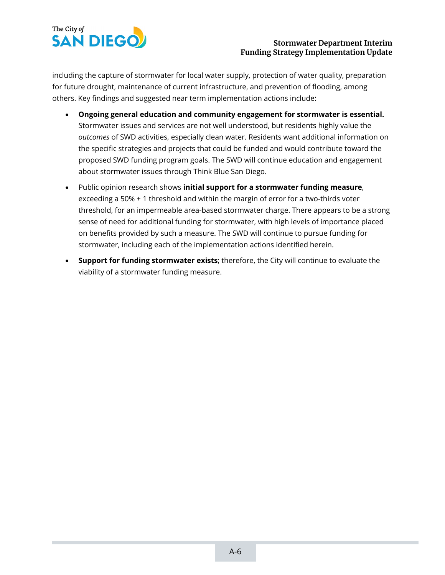

#### **Stormwater Department Interim Funding Strategy Implementation Update**

including the capture of stormwater for local water supply, protection of water quality, preparation for future drought, maintenance of current infrastructure, and prevention of flooding, among others. Key findings and suggested near term implementation actions include:

- **Ongoing general education and community engagement for stormwater is essential.**  Stormwater issues and services are not well understood, but residents highly value the *outcomes* of SWD activities, especially clean water. Residents want additional information on the specific strategies and projects that could be funded and would contribute toward the proposed SWD funding program goals. The SWD will continue education and engagement about stormwater issues through Think Blue San Diego.
- Public opinion research shows **initial support for a stormwater funding measure**, exceeding a 50% + 1 threshold and within the margin of error for a two-thirds voter threshold, for an impermeable area-based stormwater charge. There appears to be a strong sense of need for additional funding for stormwater, with high levels of importance placed on benefits provided by such a measure. The SWD will continue to pursue funding for stormwater, including each of the implementation actions identified herein.
- **Support for funding stormwater exists**; therefore, the City will continue to evaluate the viability of a stormwater funding measure.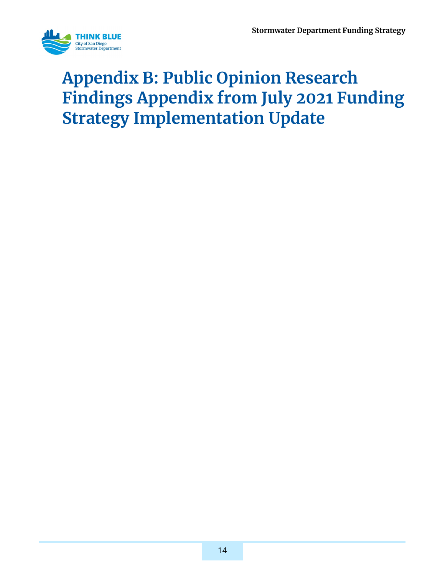

## <span id="page-23-0"></span>**Appendix B: Public Opinion Research Findings Appendix from July 2021 Funding Strategy Implementation Update**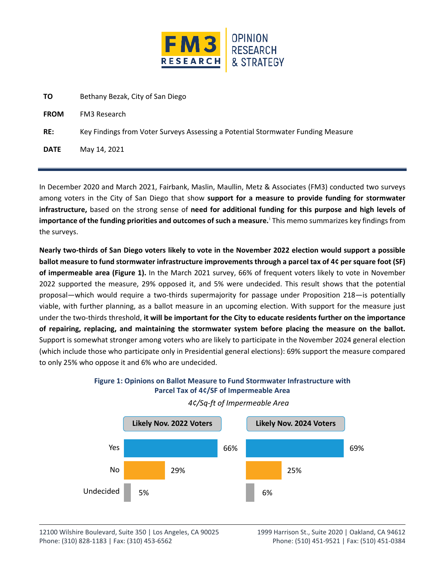

| ΤO          | Bethany Bezak, City of San Diego                                                 |
|-------------|----------------------------------------------------------------------------------|
| <b>FROM</b> | FM3 Research                                                                     |
| RE:         | Key Findings from Voter Surveys Assessing a Potential Stormwater Funding Measure |
| <b>DATE</b> | May 14, 2021                                                                     |

In December 2020 and March 2021, Fairbank, Maslin, Maullin, Metz & Associates (FM3) conducted two surveys among voters in the City of San Diego that show **support for a measure to provide funding for stormwater infrastructure,** based on the strong sense of **need for additional funding for this purpose and high levels of importance of the funding priorities and outcomes of such a measure.** [i](#page-27-0) This memo summarizes key findings from the surveys.

**Nearly two-thirds of San Diego voters likely to vote in the November 2022 election would support a possible ballot measure to fund stormwater infrastructure improvements through a parcel tax of 4¢ per square foot (SF) of impermeable area [\(Figure 1\)](#page-24-0).** In the March 2021 survey, 66% of frequent voters likely to vote in November 2022 supported the measure, 29% opposed it, and 5% were undecided. This result shows that the potential proposal—which would require a two-thirds supermajority for passage under Proposition 218—is potentially viable, with further planning, as a ballot measure in an upcoming election. With support for the measure just under the two-thirds threshold, **it will be important for the City to educate residents further on the importance of repairing, replacing, and maintaining the stormwater system before placing the measure on the ballot.** Support is somewhat stronger among voters who are likely to participate in the November 2024 general election (which include those who participate only in Presidential general elections): 69% support the measure compared to only 25% who oppose it and 6% who are undecided.

<span id="page-24-0"></span>

### *4¢/Sq-ft of Impermeable Area*

**Figure 1: Opinions on Ballot Measure to Fund Stormwater Infrastructure with Parcel Tax of 4¢/SF of Impermeable Area**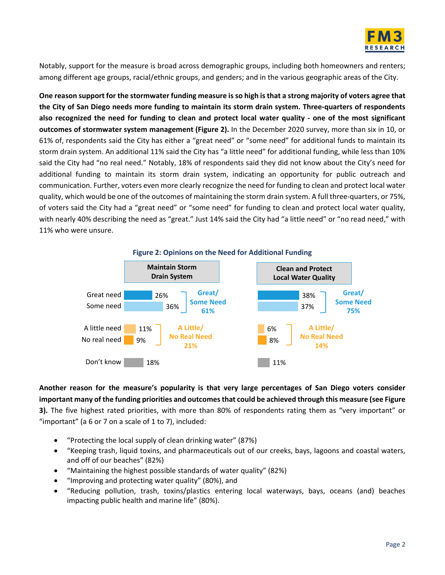

Notably, support for the measure is broad across demographic groups, including both homeowners and renters; among different age groups, racial/ethnic groups, and genders; and in the various geographic areas of the City.

**One reason support for the stormwater funding measure is so high is that a strong majority of voters agree that the City of San Diego needs more funding to maintain its storm drain system. Three-quarters of respondents also recognized the need for funding to clean and protect local water quality - one of the most significant outcomes of stormwater system management [\(Figure 2\)](#page-25-0).** In the December 2020 survey, more than six in 10, or 61% of, respondents said the City has either a "great need" or "some need" for additional funds to maintain its storm drain system. An additional 11% said the City has "a little need" for additional funding, while less than 10% said the City had "no real need." Notably, 18% of respondents said they did not know about the City's need for additional funding to maintain its storm drain system, indicating an opportunity for public outreach and communication. Further, voters even more clearly recognize the need for funding to clean and protect local water quality, which would be one of the outcomes of maintaining the storm drain system. A full three-quarters, or 75%, of voters said the City had a "great need" or "some need" for funding to clean and protect local water quality, with nearly 40% describing the need as "great." Just 14% said the City had "a little need" or "no read need," with 11% who were unsure.

<span id="page-25-0"></span>

**Another reason for the measure's popularity is that very large percentages of San Diego voters consider important many of the funding priorities and outcomes that could be achieved through this measure (se[e Figure](#page-26-0)  [3\)](#page-26-0).** The five highest rated priorities, with more than 80% of respondents rating them as "very important" or "important" (a  $6$  or  $7$  on a scale of  $1$  to  $7$ ), included:

- "Protecting the local supply of clean drinking water" (87%)
- "Keeping trash, liquid toxins, and pharmaceuticals out of our creeks, bays, lagoons and coastal waters, and off of our beaches" (82%)
- "Maintaining the highest possible standards of water quality" (82%)
- "Improving and protecting water quality" (80%), and
- "Reducing pollution, trash, toxins/plastics entering local waterways, bays, oceans (and) beaches impacting public health and marine life" (80%).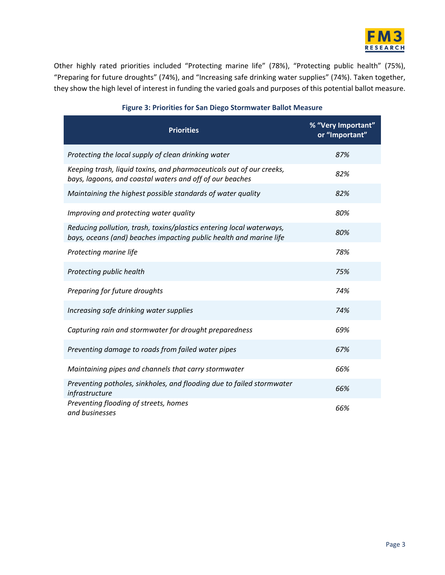

Other highly rated priorities included "Protecting marine life" (78%), "Protecting public health" (75%), "Preparing for future droughts" (74%), and "Increasing safe drinking water supplies" (74%). Taken together, they show the high level of interest in funding the varied goals and purposes of this potential ballot measure.

<span id="page-26-0"></span>

| <b>Priorities</b>                                                                                                                          | % "Very Important"<br>or "Important" |
|--------------------------------------------------------------------------------------------------------------------------------------------|--------------------------------------|
| Protecting the local supply of clean drinking water                                                                                        | 87%                                  |
| Keeping trash, liquid toxins, and pharmaceuticals out of our creeks,<br>bays, lagoons, and coastal waters and off of our beaches           | 82%                                  |
| Maintaining the highest possible standards of water quality                                                                                | 82%                                  |
| Improving and protecting water quality                                                                                                     | 80%                                  |
| Reducing pollution, trash, toxins/plastics entering local waterways,<br>bays, oceans (and) beaches impacting public health and marine life | 80%                                  |
| Protecting marine life                                                                                                                     | 78%                                  |
| Protecting public health                                                                                                                   | 75%                                  |
| Preparing for future droughts                                                                                                              | 74%                                  |
| Increasing safe drinking water supplies                                                                                                    | 74%                                  |
| Capturing rain and stormwater for drought preparedness                                                                                     | 69%                                  |
| Preventing damage to roads from failed water pipes                                                                                         | 67%                                  |
| Maintaining pipes and channels that carry stormwater                                                                                       | 66%                                  |
| Preventing potholes, sinkholes, and flooding due to failed stormwater<br>infrastructure                                                    | 66%                                  |
| Preventing flooding of streets, homes<br>and businesses                                                                                    | 66%                                  |

#### **Figure 3: Priorities for San Diego Stormwater Ballot Measure**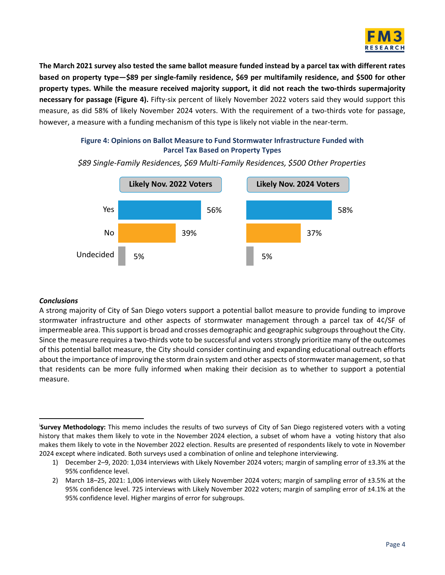

**The March 2021 survey also tested the same ballot measure funded instead by a parcel tax with different rates based on property type—\$89 per single-family residence, \$69 per multifamily residence, and \$500 for other property types. While the measure received majority support, it did not reach the two-thirds supermajority necessary for passage [\(Figure](#page-27-1) 4).** Fifty-six percent of likely November 2022 voters said they would support this measure, as did 58% of likely November 2024 voters. With the requirement of a two-thirds vote for passage, however, a measure with a funding mechanism of this type is likely not viable in the near-term.

#### <span id="page-27-1"></span>**Figure 4: Opinions on Ballot Measure to Fund Stormwater Infrastructure Funded with Parcel Tax Based on Property Types**



*\$89 Single-Family Residences, \$69 Multi-Family Residences, \$500 Other Properties*

#### *Conclusions*

A strong majority of City of San Diego voters support a potential ballot measure to provide funding to improve stormwater infrastructure and other aspects of stormwater management through a parcel tax of 4¢/SF of impermeable area. This support is broad and crosses demographic and geographic subgroups throughout the City. Since the measure requires a two-thirds vote to be successful and voters strongly prioritize many of the outcomes of this potential ballot measure, the City should consider continuing and expanding educational outreach efforts about the importance of improving the storm drain system and other aspects of stormwater management, so that that residents can be more fully informed when making their decision as to whether to support a potential measure.

<span id="page-27-0"></span>i **Survey Methodology:** This memo includes the results of two surveys of City of San Diego registered voters with a voting history that makes them likely to vote in the November 2024 election, a subset of whom have a voting history that also makes them likely to vote in the November 2022 election. Results are presented of respondents likely to vote in November 2024 except where indicated. Both surveys used a combination of online and telephone interviewing.

<sup>1)</sup> December 2–9, 2020: 1,034 interviews with Likely November 2024 voters; margin of sampling error of ±3.3% at the 95% confidence level.

<sup>2)</sup> March 18–25, 2021: 1,006 interviews with Likely November 2024 voters; margin of sampling error of ±3.5% at the 95% confidence level. 725 interviews with Likely November 2022 voters; margin of sampling error of ±4.1% at the 95% confidence level. Higher margins of error for subgroups.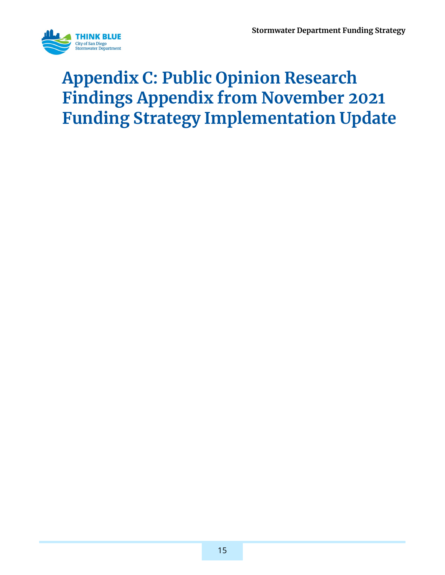

## <span id="page-28-0"></span>**Appendix C: Public Opinion Research Findings Appendix from November 2021 Funding Strategy Implementation Update**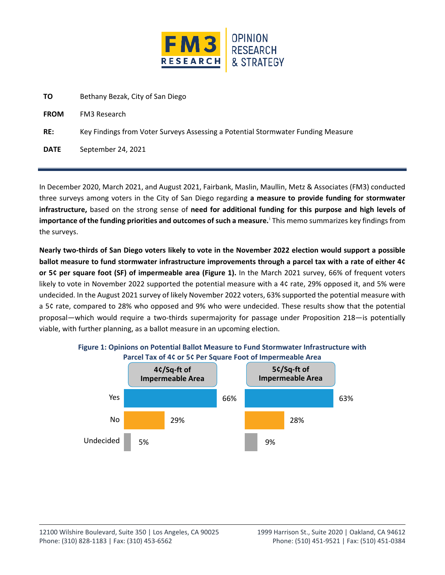

| TO.         | Bethany Bezak, City of San Diego                                                 |
|-------------|----------------------------------------------------------------------------------|
| <b>FROM</b> | FM3 Research                                                                     |
| RE:         | Key Findings from Voter Surveys Assessing a Potential Stormwater Funding Measure |
| <b>DATE</b> | September 24, 2021                                                               |

In December 2020, March 2021, and August 2021, Fairbank, Maslin, Maullin, Metz & Associates (FM3) conducted three surveys among voters in the City of San Diego regarding **a measure to provide funding for stormwater infrastructure,** based on the strong sense of **need for additional funding for this purpose and high levels of importance of the funding priorities and outcomes of such a measure.** [i](#page-32-0) This memo summarizes key findings from the surveys.

**Nearly two-thirds of San Diego voters likely to vote in the November 2022 election would support a possible ballot measure to fund stormwater infrastructure improvements through a parcel tax with a rate of either 4¢ or 5¢ per square foot (SF) of impermeable area [\(Figure 1\)](#page-29-0).** In the March 2021 survey, 66% of frequent voters likely to vote in November 2022 supported the potential measure with a 4¢ rate, 29% opposed it, and 5% were undecided. In the August 2021 survey of likely November 2022 voters, 63% supported the potential measure with a 5¢ rate, compared to 28% who opposed and 9% who were undecided. These results show that the potential proposal—which would require a two-thirds supermajority for passage under Proposition 218—is potentially viable, with further planning, as a ballot measure in an upcoming election.



<span id="page-29-0"></span>**Figure 1: Opinions on Potential Ballot Measure to Fund Stormwater Infrastructure with Parcel Tax of 4¢ or 5¢ Per Square Foot of Impermeable Area**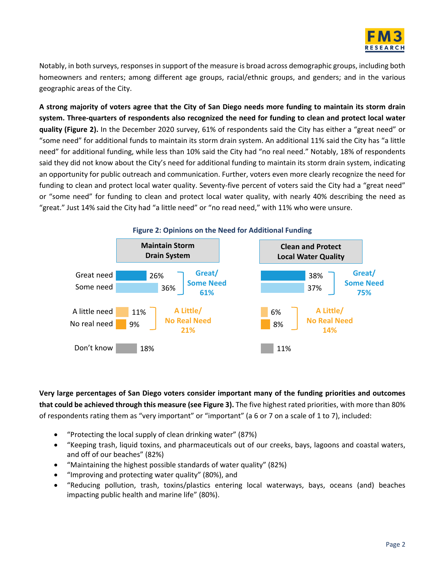

Notably, in both surveys, responses in support of the measure is broad across demographic groups, including both homeowners and renters; among different age groups, racial/ethnic groups, and genders; and in the various geographic areas of the City.

**A strong majority of voters agree that the City of San Diego needs more funding to maintain its storm drain system. Three-quarters of respondents also recognized the need for funding to clean and protect local water quality [\(Figure 2\)](#page-30-0).** In the December 2020 survey, 61% of respondents said the City has either a "great need" or "some need" for additional funds to maintain its storm drain system. An additional 11% said the City has "a little need" for additional funding, while less than 10% said the City had "no real need." Notably, 18% of respondents said they did not know about the City's need for additional funding to maintain its storm drain system, indicating an opportunity for public outreach and communication. Further, voters even more clearly recognize the need for funding to clean and protect local water quality. Seventy-five percent of voters said the City had a "great need" or "some need" for funding to clean and protect local water quality, with nearly 40% describing the need as "great." Just 14% said the City had "a little need" or "no read need," with 11% who were unsure.

<span id="page-30-0"></span>

**Very large percentages of San Diego voters consider important many of the funding priorities and outcomes that could be achieved through this measure (see [Figure 3\)](#page-31-0).** The five highest rated priorities, with more than 80% of respondents rating them as "very important" or "important" (a 6 or 7 on a scale of 1 to 7), included:

- "Protecting the local supply of clean drinking water" (87%)
- "Keeping trash, liquid toxins, and pharmaceuticals out of our creeks, bays, lagoons and coastal waters, and off of our beaches" (82%)
- "Maintaining the highest possible standards of water quality" (82%)
- "Improving and protecting water quality" (80%), and
- "Reducing pollution, trash, toxins/plastics entering local waterways, bays, oceans (and) beaches impacting public health and marine life" (80%).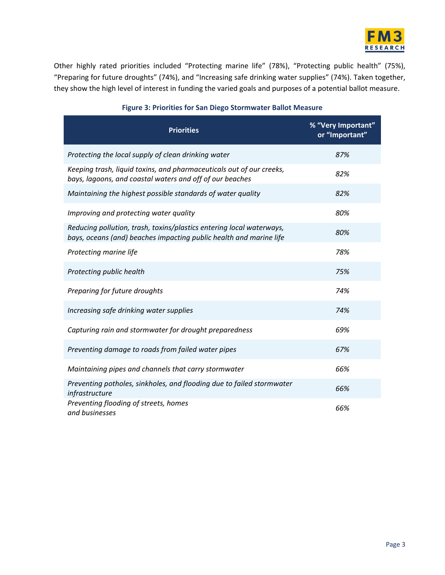

Other highly rated priorities included "Protecting marine life" (78%), "Protecting public health" (75%), "Preparing for future droughts" (74%), and "Increasing safe drinking water supplies" (74%). Taken together, they show the high level of interest in funding the varied goals and purposes of a potential ballot measure.

<span id="page-31-0"></span>

| <b>Priorities</b>                                                                                                                          | % "Very Important"<br>or "Important" |
|--------------------------------------------------------------------------------------------------------------------------------------------|--------------------------------------|
| Protecting the local supply of clean drinking water                                                                                        | 87%                                  |
| Keeping trash, liquid toxins, and pharmaceuticals out of our creeks,<br>bays, lagoons, and coastal waters and off of our beaches           | 82%                                  |
| Maintaining the highest possible standards of water quality                                                                                | 82%                                  |
| Improving and protecting water quality                                                                                                     | 80%                                  |
| Reducing pollution, trash, toxins/plastics entering local waterways,<br>bays, oceans (and) beaches impacting public health and marine life | 80%                                  |
| Protecting marine life                                                                                                                     | 78%                                  |
| Protecting public health                                                                                                                   | 75%                                  |
| Preparing for future droughts                                                                                                              | 74%                                  |
| Increasing safe drinking water supplies                                                                                                    | 74%                                  |
| Capturing rain and stormwater for drought preparedness                                                                                     | 69%                                  |
| Preventing damage to roads from failed water pipes                                                                                         | 67%                                  |
| Maintaining pipes and channels that carry stormwater                                                                                       | 66%                                  |
| Preventing potholes, sinkholes, and flooding due to failed stormwater<br>infrastructure                                                    | 66%                                  |
| Preventing flooding of streets, homes<br>and businesses                                                                                    | 66%                                  |

#### **Figure 3: Priorities for San Diego Stormwater Ballot Measure**